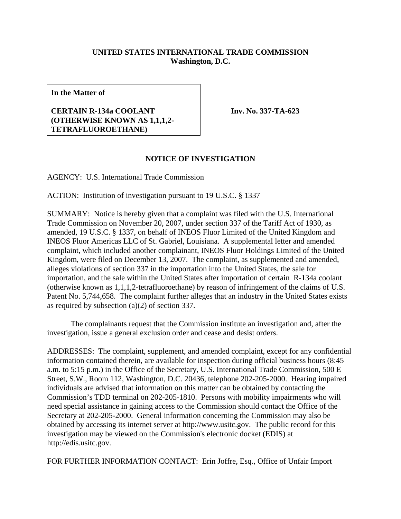## **UNITED STATES INTERNATIONAL TRADE COMMISSION Washington, D.C.**

**In the Matter of**

## **CERTAIN R-134a COOLANT (OTHERWISE KNOWN AS 1,1,1,2- TETRAFLUOROETHANE)**

**Inv. No. 337-TA-623**

## **NOTICE OF INVESTIGATION**

AGENCY: U.S. International Trade Commission

ACTION: Institution of investigation pursuant to 19 U.S.C. § 1337

SUMMARY: Notice is hereby given that a complaint was filed with the U.S. International Trade Commission on November 20, 2007, under section 337 of the Tariff Act of 1930, as amended, 19 U.S.C. § 1337, on behalf of INEOS Fluor Limited of the United Kingdom and INEOS Fluor Americas LLC of St. Gabriel, Louisiana. A supplemental letter and amended complaint, which included another complainant, INEOS Fluor Holdings Limited of the United Kingdom, were filed on December 13, 2007. The complaint, as supplemented and amended, alleges violations of section 337 in the importation into the United States, the sale for importation, and the sale within the United States after importation of certain R-134a coolant (otherwise known as 1,1,1,2-tetrafluoroethane) by reason of infringement of the claims of U.S. Patent No. 5,744,658. The complaint further alleges that an industry in the United States exists as required by subsection (a)(2) of section 337.

The complainants request that the Commission institute an investigation and, after the investigation, issue a general exclusion order and cease and desist orders.

ADDRESSES: The complaint, supplement, and amended complaint, except for any confidential information contained therein, are available for inspection during official business hours (8:45 a.m. to 5:15 p.m.) in the Office of the Secretary, U.S. International Trade Commission, 500 E Street, S.W., Room 112, Washington, D.C. 20436, telephone 202-205-2000. Hearing impaired individuals are advised that information on this matter can be obtained by contacting the Commission's TDD terminal on 202-205-1810. Persons with mobility impairments who will need special assistance in gaining access to the Commission should contact the Office of the Secretary at 202-205-2000. General information concerning the Commission may also be obtained by accessing its internet server at http://www.usitc.gov. The public record for this investigation may be viewed on the Commission's electronic docket (EDIS) at http://edis.usitc.gov.

FOR FURTHER INFORMATION CONTACT: Erin Joffre, Esq., Office of Unfair Import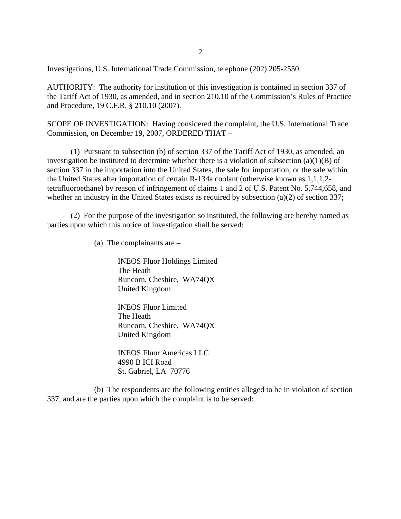Investigations, U.S. International Trade Commission, telephone (202) 205-2550.

AUTHORITY: The authority for institution of this investigation is contained in section 337 of the Tariff Act of 1930, as amended, and in section 210.10 of the Commission's Rules of Practice and Procedure, 19 C.F.R. § 210.10 (2007).

SCOPE OF INVESTIGATION: Having considered the complaint, the U.S. International Trade Commission, on December 19, 2007, ORDERED THAT –

(1) Pursuant to subsection (b) of section 337 of the Tariff Act of 1930, as amended, an investigation be instituted to determine whether there is a violation of subsection  $(a)(1)(B)$  of section 337 in the importation into the United States, the sale for importation, or the sale within the United States after importation of certain R-134a coolant (otherwise known as 1,1,1,2 tetrafluoroethane) by reason of infringement of claims 1 and 2 of U.S. Patent No. 5,744,658, and whether an industry in the United States exists as required by subsection (a)(2) of section 337;

(2) For the purpose of the investigation so instituted, the following are hereby named as parties upon which this notice of investigation shall be served:

(a) The complainants are –

INEOS Fluor Holdings Limited The Heath Runcorn, Cheshire, WA74QX United Kingdom

INEOS Fluor Limited The Heath Runcorn, Cheshire, WA74QX United Kingdom

INEOS Fluor Americas LLC 4990 B ICI Road St. Gabriel, LA 70776

(b) The respondents are the following entities alleged to be in violation of section 337, and are the parties upon which the complaint is to be served: